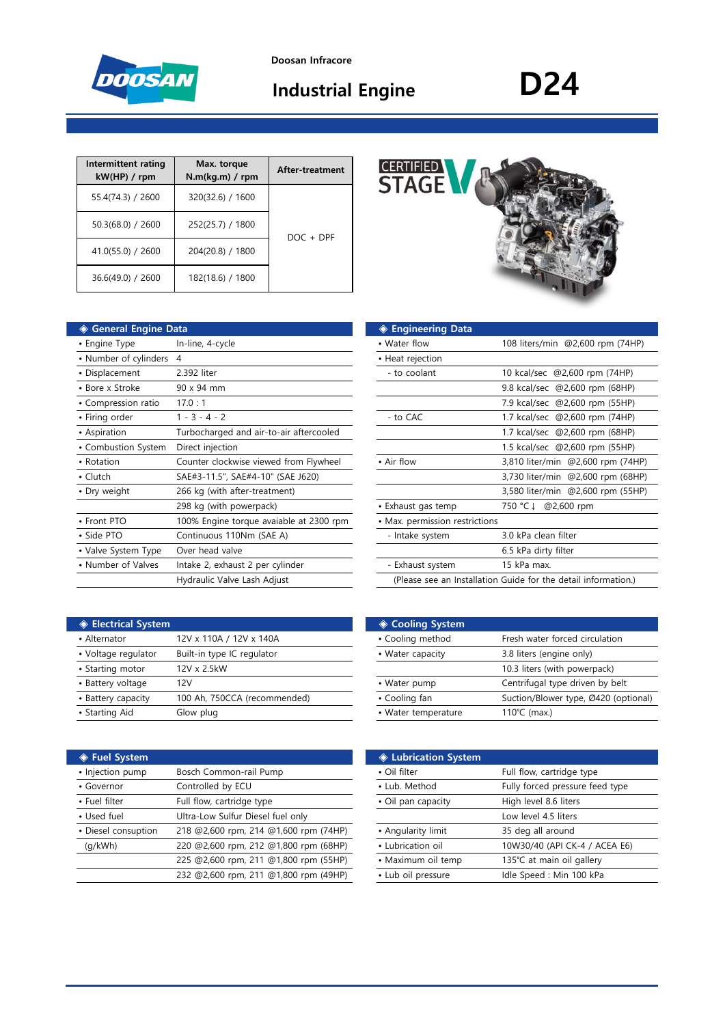

# **Industrial Engine D24**

| Intermittent rating<br>kW(HP) / rpm | Max. torque<br>$N.m(kq.m)$ / rpm | After-treatment |
|-------------------------------------|----------------------------------|-----------------|
| 55.4(74.3) / 2600                   | 320(32.6) / 1600                 |                 |
| $50.3(68.0)$ / 2600                 | 252(25.7) / 1800                 | $DOC + DPF$     |
| 41.0(55.0) / 2600                   | 204(20.8) / 1800                 |                 |
| 36.6(49.0) / 2600                   | 182(18.6) / 1800                 |                 |

| <b>General Engine Data</b><br>◈ |                                         | ◈ Engineering Data             |                                                                |
|---------------------------------|-----------------------------------------|--------------------------------|----------------------------------------------------------------|
| • Engine Type                   | In-line, 4-cycle                        | • Water flow                   | 108 liters/min @2,600 rpm (74HP)                               |
| • Number of cylinders 4         |                                         | • Heat rejection               |                                                                |
| • Displacement                  | 2.392 liter                             | - to coolant                   | 10 kcal/sec @2,600 rpm (74HP)                                  |
| • Bore x Stroke                 | 90 x 94 mm                              |                                | 9.8 kcal/sec @2,600 rpm (68HP)                                 |
| • Compression ratio             | 17.0:1                                  |                                | 7.9 kcal/sec @2,600 rpm (55HP)                                 |
| • Firing order                  | $1 - 3 - 4 - 2$                         | - to CAC                       | 1.7 kcal/sec @2,600 rpm (74HP)                                 |
| • Aspiration                    | Turbocharged and air-to-air aftercooled |                                | 1.7 kcal/sec @2,600 rpm (68HP)                                 |
| • Combustion System             | Direct injection                        |                                | 1.5 kcal/sec @2,600 rpm (55HP)                                 |
| • Rotation                      | Counter clockwise viewed from Flywheel  | • Air flow                     | 3,810 liter/min @2,600 rpm (74HP)                              |
| • Clutch                        | SAE#3-11.5", SAE#4-10" (SAE J620)       |                                | 3,730 liter/min @2,600 rpm (68HP)                              |
| • Dry weight                    | 266 kg (with after-treatment)           |                                | 3,580 liter/min @2,600 rpm (55HP)                              |
|                                 | 298 kg (with powerpack)                 | • Exhaust gas temp             | @2,600 rpm<br>750 °C ↓                                         |
| • Front PTO                     | 100% Engine torque avaiable at 2300 rpm | • Max. permission restrictions |                                                                |
| • Side PTO                      | Continuous 110Nm (SAE A)                | - Intake system                | 3.0 kPa clean filter                                           |
| • Valve System Type             | Over head valve                         |                                | 6.5 kPa dirty filter                                           |
| • Number of Valves              | Intake 2, exhaust 2 per cylinder        | - Exhaust system               | 15 kPa max.                                                    |
|                                 | Hydraulic Valve Lash Adjust             |                                | (Please see an Installation Guide for the detail information.) |
|                                 |                                         |                                |                                                                |

| <b>GERMELED STAGE V</b> |  |
|-------------------------|--|
|                         |  |

| ıta                                     | ◈ Engineering Data                                             |                                   |  |  |  |
|-----------------------------------------|----------------------------------------------------------------|-----------------------------------|--|--|--|
| In-line, 4-cycle                        | • Water flow                                                   | 108 liters/min @2,600 rpm (74HP)  |  |  |  |
| 4                                       | • Heat rejection                                               |                                   |  |  |  |
| 2.392 liter                             | - to coolant                                                   | 10 kcal/sec @2,600 rpm (74HP)     |  |  |  |
| 90 x 94 mm                              |                                                                | 9.8 kcal/sec @2,600 rpm (68HP)    |  |  |  |
| 17.0:1                                  |                                                                | 7.9 kcal/sec @2,600 rpm (55HP)    |  |  |  |
| $1 - 3 - 4 - 2$                         | - to CAC                                                       | 1.7 kcal/sec @2,600 rpm (74HP)    |  |  |  |
| Turbocharged and air-to-air aftercooled |                                                                | 1.7 kcal/sec @2,600 rpm (68HP)    |  |  |  |
| Direct injection                        |                                                                | 1.5 kcal/sec @2,600 rpm (55HP)    |  |  |  |
| Counter clockwise viewed from Flywheel  | • Air flow                                                     | 3,810 liter/min @2,600 rpm (74HP) |  |  |  |
| SAE#3-11.5", SAE#4-10" (SAE J620)       |                                                                | 3,730 liter/min @2,600 rpm (68HP) |  |  |  |
| 266 kg (with after-treatment)           |                                                                | 3,580 liter/min @2,600 rpm (55HP) |  |  |  |
| 298 kg (with powerpack)                 | • Exhaust gas temp                                             | @2,600 rpm<br>750 °C ↓            |  |  |  |
| 100% Engine torque avaiable at 2300 rpm | • Max. permission restrictions                                 |                                   |  |  |  |
| Continuous 110Nm (SAE A)                | - Intake system                                                | 3.0 kPa clean filter              |  |  |  |
| Over head valve                         |                                                                | 6.5 kPa dirty filter              |  |  |  |
| Intake 2, exhaust 2 per cylinder        | - Exhaust system                                               | 15 kPa max.                       |  |  |  |
| Hydraulic Valve Lash Adjust             | (Please see an Installation Guide for the detail information.) |                                   |  |  |  |
|                                         |                                                                |                                   |  |  |  |

| <b>♦ Electrical System</b> |                              | ◈ Cooling System    |                                 |  |  |  |
|----------------------------|------------------------------|---------------------|---------------------------------|--|--|--|
| • Alternator               | 12V x 110A / 12V x 140A      | • Cooling method    | Fresh water forced circulation  |  |  |  |
| • Voltage regulator        | Built-in type IC regulator   | • Water capacity    | 3.8 liters (engine only)        |  |  |  |
| • Starting motor           | 12V x 2.5kW                  |                     | 10.3 liters (with powerpack)    |  |  |  |
| • Battery voltage          | 12V                          | • Water pump        | Centrifugal type driven by belt |  |  |  |
| • Battery capacity         | 100 Ah, 750CCA (recommended) | • Cooling fan       | Suction/Blower type, Ø420 (op   |  |  |  |
| • Starting Aid             | Glow plug                    | • Water temperature | 110 $°C$ (max.)                 |  |  |  |
|                            |                              |                     |                                 |  |  |  |

| ◈ Fuel System       |                                       | <b>♦ Lubrication System</b> |                                 |
|---------------------|---------------------------------------|-----------------------------|---------------------------------|
| • Injection pump    | Bosch Common-rail Pump                | • Oil filter                | Full flow, cartridge type       |
| • Governor          | Controlled by ECU                     | • Lub. Method               | Fully forced pressure feed type |
| • Fuel filter       | Full flow, cartridge type             | • Oil pan capacity          | High level 8.6 liters           |
| • Used fuel         | Ultra-Low Sulfur Diesel fuel only     |                             | Low level 4.5 liters            |
| • Diesel consuption | 218 @2,600 rpm, 214 @1,600 rpm (74HP) | • Angularity limit          | 35 deg all around               |
| (q/kWh)             | 220 @2,600 rpm, 212 @1,800 rpm (68HP) | • Lubrication oil           | 10W30/40 (API CK-4 / ACEA E6)   |
|                     | 225 @2,600 rpm, 211 @1,800 rpm (55HP) | • Maximum oil temp          | 135℃ at main oil gallery        |
|                     | 232 @2,600 rpm, 211 @1,800 rpm (49HP) | • Lub oil pressure          | Idle Speed: Min 100 kPa         |

| <b>Electrical System</b> |                              | ◈ Cooling System    |                                      |  |  |  |
|--------------------------|------------------------------|---------------------|--------------------------------------|--|--|--|
| • Alternator             | 12V x 110A / 12V x 140A      | • Cooling method    | Fresh water forced circulation       |  |  |  |
| • Voltage regulator      | Built-in type IC regulator   | • Water capacity    | 3.8 liters (engine only)             |  |  |  |
| • Starting motor         | 12V x 2.5kW                  |                     | 10.3 liters (with powerpack)         |  |  |  |
| • Battery voltage        | 12V                          | • Water pump        | Centrifugal type driven by belt      |  |  |  |
| • Battery capacity       | 100 Ah, 750CCA (recommended) | • Cooling fan       | Suction/Blower type, Ø420 (optional) |  |  |  |
| • Starting Aid           | Glow plug                    | • Water temperature | 110 $°C$ (max.)                      |  |  |  |
|                          |                              |                     |                                      |  |  |  |

|                                       | <b>♦ Lubrication System</b> |                                 |  |  |
|---------------------------------------|-----------------------------|---------------------------------|--|--|
| Bosch Common-rail Pump                | • Oil filter                | Full flow, cartridge type       |  |  |
| Controlled by ECU                     | • Lub. Method               | Fully forced pressure feed type |  |  |
| Full flow, cartridge type             | • Oil pan capacity          | High level 8.6 liters           |  |  |
| Ultra-Low Sulfur Diesel fuel only     |                             | Low level 4.5 liters            |  |  |
| 218 @2,600 rpm, 214 @1,600 rpm (74HP) | • Angularity limit          | 35 deg all around               |  |  |
| 220 @2,600 rpm, 212 @1,800 rpm (68HP) | • Lubrication oil           | 10W30/40 (API CK-4 / ACEA E6)   |  |  |
| 225 @2,600 rpm, 211 @1,800 rpm (55HP) | • Maximum oil temp          | 135℃ at main oil gallery        |  |  |
| 232 @2,600 rpm, 211 @1,800 rpm (49HP) | • Lub oil pressure          | Idle Speed : Min 100 kPa        |  |  |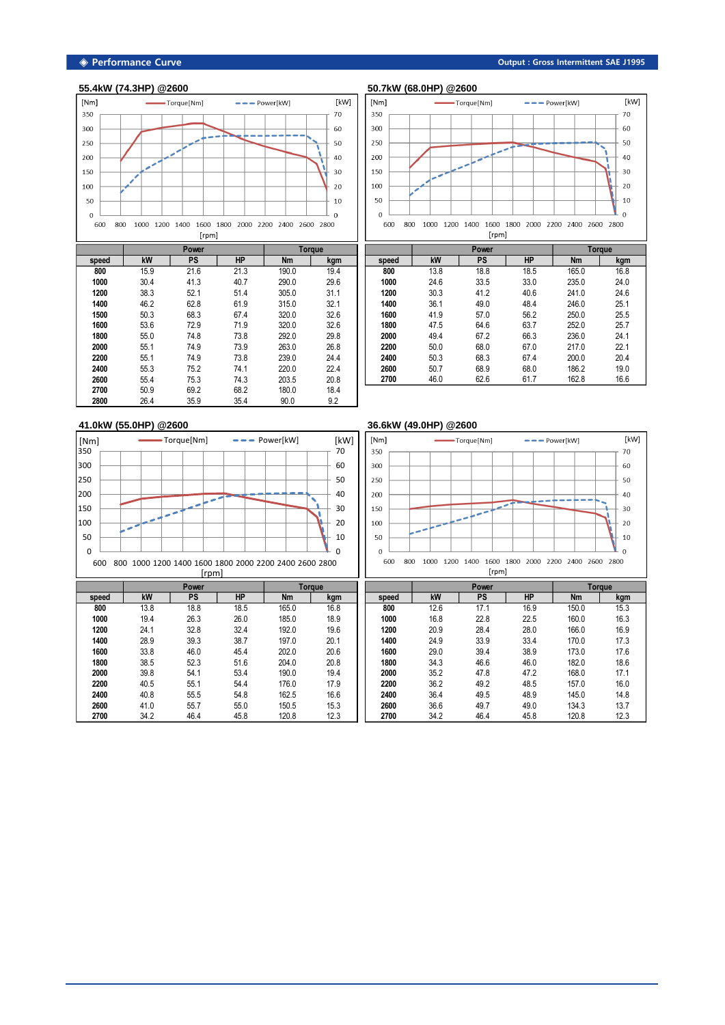

|       |      | Power        | Torque       |                |              |
|-------|------|--------------|--------------|----------------|--------------|
| speed | kW   | PS           | <b>HP</b>    | <b>Nm</b>      | kgm          |
| 800   | 15.9 | 21.6         | 21.3         | 190.0          | 19.4         |
| 1000  | 30.4 | 41.3         | 40.7         | 290.0          | 29.6         |
| 1200  | 38.3 | 52.1         | 51.4         | 305.0          | 31.1         |
| 1400  | 46.2 | 62.8<br>68.3 | 61.9<br>67.4 | 315.0<br>320.0 | 32.1<br>32.6 |
| 1500  | 50.3 |              |              |                |              |
| 1600  | 53.6 | 72.9         | 71.9         | 320.0          | 32.6         |
| 1800  | 55.0 | 74.8         | 73.8         | 292.0          | 29.8         |
| 2000  | 55.1 | 74.9         | 73.9         | 263.0          | 26.8         |
| 2200  | 55.1 | 74.9         | 73.8         | 239.0          | 24.4         |
| 2400  | 55.3 | 75.2         | 74.1         | 220.0          | 22.4         |
| 2600  | 55.4 | 75.3         | 74.3         | 203.5          | 20.8         |
| 2700  | 50.9 | 69.2         | 68.2         | 180.0          | 18.4         |
| 2800  | 26.4 | 35.9         | 35.4         | 90.0           | 9.2          |

## **55.4kW (74.3HP) @2600 50.7kW (68.0HP) @2600**



|       |      | Power        | <b>Torque</b> |           |      |
|-------|------|--------------|---------------|-----------|------|
| speed | kW   | PS           | <b>HP</b>     | <b>Nm</b> | kgm  |
| 800   | 13.8 | 18.8         | 18.5          | 165.0     | 16.8 |
| 1000  | 24.6 | 33.5         | 33.0          | 235.0     | 24.0 |
| 1200  | 30.3 | 41.2         | 40.6          | 241.0     | 24.6 |
| 1400  | 36.1 | 49.0         | 48.4          | 246.0     | 25.1 |
| 1600  | 41.9 | 57.0         | 56.2          | 250.0     | 25.5 |
| 1800  | 47.5 | 64.6         | 63.7          | 252.0     | 25.7 |
| 2000  | 49.4 | 67.2<br>66.3 |               | 236.0     | 24.1 |
| 2200  | 50.0 | 68.0         | 67.0          | 217.0     | 22.1 |
| 2400  | 50.3 | 68.3         | 67.4          | 200.0     | 20.4 |
| 2600  | 50.7 | 68.9         | 68.0          | 186.2     | 19.0 |
| 2700  | 46.0 | 62.6         | 61.7          | 162.8     | 16.6 |

# **41.0kW (55.0HP) @2600 36.6kW (49.0HP) @2600**

| [Nm]<br>350 |                                                              |  |  | -Torque[Nm] |  |  | $\frac{1}{2} \frac{1}{2} \frac{1}{2} \frac{1}{2} \frac{1}{2} \frac{1}{2} \frac{1}{2} \frac{1}{2} \frac{1}{2} \frac{1}{2} \frac{1}{2} \frac{1}{2} \frac{1}{2} \frac{1}{2} \frac{1}{2} \frac{1}{2} \frac{1}{2} \frac{1}{2} \frac{1}{2} \frac{1}{2} \frac{1}{2} \frac{1}{2} \frac{1}{2} \frac{1}{2} \frac{1}{2} \frac{1}{2} \frac{1}{2} \frac{1}{2} \frac{1}{2} \frac{1}{2} \frac{1}{2} \frac{$ |  | Power[kW] |  | [kW]<br>70 |
|-------------|--------------------------------------------------------------|--|--|-------------|--|--|----------------------------------------------------------------------------------------------------------------------------------------------------------------------------------------------------------------------------------------------------------------------------------------------------------------------------------------------------------------------------------------------|--|-----------|--|------------|
|             |                                                              |  |  |             |  |  |                                                                                                                                                                                                                                                                                                                                                                                              |  |           |  |            |
| 300         |                                                              |  |  |             |  |  |                                                                                                                                                                                                                                                                                                                                                                                              |  |           |  | 60         |
| 250         |                                                              |  |  |             |  |  |                                                                                                                                                                                                                                                                                                                                                                                              |  |           |  | 50         |
| 200         |                                                              |  |  |             |  |  |                                                                                                                                                                                                                                                                                                                                                                                              |  |           |  | 40         |
| 150         |                                                              |  |  |             |  |  |                                                                                                                                                                                                                                                                                                                                                                                              |  |           |  | 30         |
| 100         |                                                              |  |  |             |  |  |                                                                                                                                                                                                                                                                                                                                                                                              |  |           |  | 20         |
| 50          |                                                              |  |  |             |  |  |                                                                                                                                                                                                                                                                                                                                                                                              |  |           |  | 10         |
| $\mathbf 0$ |                                                              |  |  |             |  |  |                                                                                                                                                                                                                                                                                                                                                                                              |  |           |  | $\Omega$   |
|             | 800 1000 1200 1400 1600 1800 2000 2200 2400 2600 2800<br>600 |  |  |             |  |  |                                                                                                                                                                                                                                                                                                                                                                                              |  |           |  |            |



### **speed kW PS HP Nm kgm** 13.8 18.8 18.5 165.0 16.8 **Power Torque** [rpm]

|       | Power |           | Toraue    |           |      | Power |      |      | Toraue    |           |      |
|-------|-------|-----------|-----------|-----------|------|-------|------|------|-----------|-----------|------|
| speed | kW    | <b>PS</b> | <b>HP</b> | <b>Nm</b> | kgm  | speed | kW   | PS   | <b>HP</b> | <b>Nm</b> | kgm  |
| 800   | 13.8  | 18.8      | 18.5      | 165.0     | 16.8 | 800   | 12.6 | 17.1 | 16.9      | 150.0     | 15.3 |
| 1000  | 19.4  | 26.3      | 26.0      | 185.0     | 18.9 | 1000  | 16.8 | 22.8 | 22.5      | 160.0     | 16.3 |
| 1200  | 24.1  | 32.8      | 32.4      | 192.0     | 19.6 | 1200  | 20.9 | 28.4 | 28.0      | 166.0     | 16.9 |
| 1400  | 28.9  | 39.3      | 38.7      | 197.0     | 20.1 | 1400  | 24.9 | 33.9 | 33.4      | 170.0     | 17.3 |
| 1600  | 33.8  | 46.0      | 45.4      | 202.0     | 20.6 | 1600  | 29.0 | 39.4 | 38.9      | 173.0     | 17.6 |
| 1800  | 38.5  | 52.3      | 51.6      | 204.0     | 20.8 | 1800  | 34.3 | 46.6 | 46.0      | 182.0     | 18.6 |
| 2000  | 39.8  | 54.1      | 53.4      | 190.0     | 19.4 | 2000  | 35.2 | 47.8 | 47.2      | 168.0     | 17.1 |
| 2200  | 40.5  | 55.1      | 54.4      | 176.0     | 17.9 | 2200  | 36.2 | 49.2 | 48.5      | 157.0     | 16.0 |
| 2400  | 40.8  | 55.5      | 54.8      | 162.5     | 16.6 | 2400  | 36.4 | 49.5 | 48.9      | 145.0     | 14.8 |
| 2600  | 41.0  | 55.7      | 55.0      | 150.5     | 15.3 | 2600  | 36.6 | 49.7 | 49.0      | 134.3     | 13.7 |
| 2700  | 34.2  | 46.4      | 45.8      | 120.8     | 12.3 | 2700  | 34.2 | 46.4 | 45.8      | 120.8     | 12.3 |